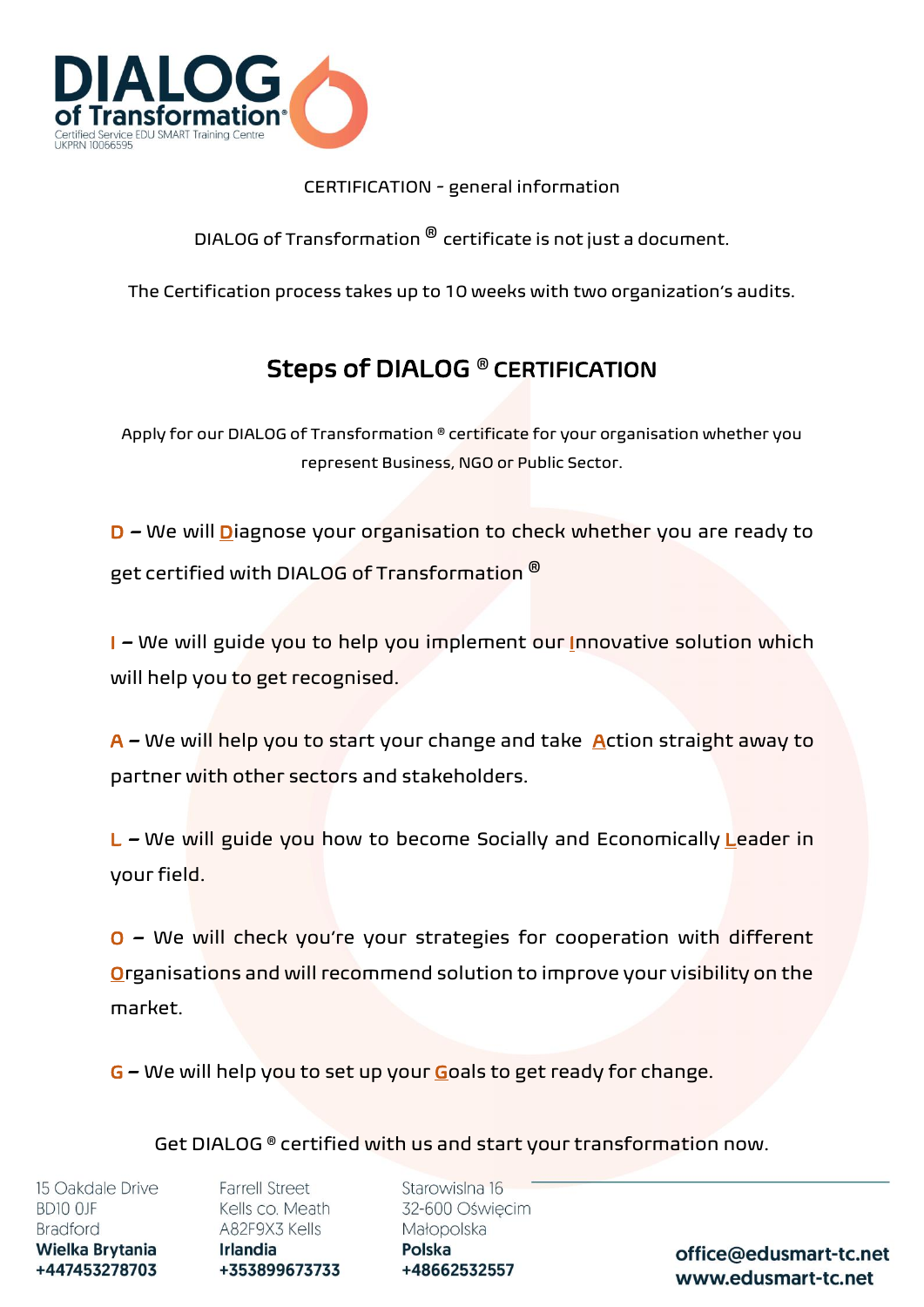

## CERTIFICATION - general information

DIALOG of Transformation  $^\circledR$  certificate is not just a document.

The Certification process takes up to 10 weeks with two organization's audits.

## Steps of DIALOG ®️ CERTIFICATION

Apply for our DIALOG of Transformation <sup>®</sup> certificate for your organisation whether you represent Business, NGO or Public Sector.

D – We will **Diagnose your organisation to check whether you are ready to** get certified with DIALOG of Transformation ®️

I – We will guide you to help you implement our Innovative solution which will help you to get recognised.

 $A$  – We will help you to start your change and take Action straight away to partner with other sectors and stakeholders.

L – We will guide you how to become Socially and Economically Leader in your field.

O – We will check you're your strategies for cooperation with different Organisations and will recommend solution to improve your visibility on the market.

G – We will help you to set up your Goals to get ready for change.

Get DIALOG ® certified with us and start your transformation now.

15 Oakdale Drive BD10 OJF **Bradford** Wielka Brytania +447453278703

**Farrell Street** Kells co. Meath A82F9X3 Kells **Irlandia** +353899673733

Starowislna 16 32-600 Oświęcim Małopolska Polska +48662532557

office@edusmart-tc.net www.edusmart-tc.net